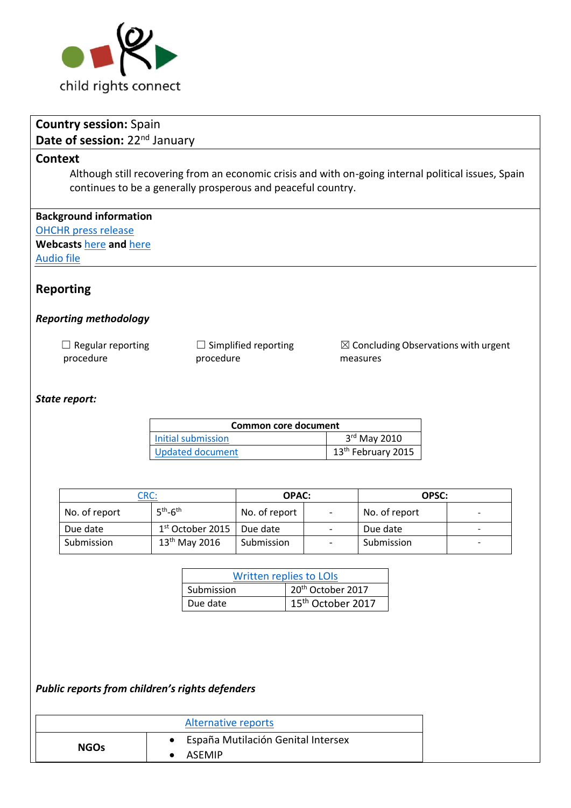

## **Country session:** Spain **Date of session: 22<sup>nd</sup> January**

#### **Context**

Although still recovering from an economic crisis and with on-going internal political issues, Spain continues to be a generally prosperous and peaceful country.

# **Background information**

[OHCHR press release](http://www.ohchr.org/EN/NewsEvents/Pages/DisplayNews.aspx?NewsID=22600&LangID=E) **Webcasts** [here](http://webtv.un.org/search/consideration-of-spain-2263rd-meeting-77th-session-committee-on-the-rights-of-the-child/5716117156001/?term=spain&sort=date) **and** [here](http://webtv.un.org/search/consideration-of-spain-contd-2264th-meeting-77th-session-committee-on-the-rights-of-the-child/5717085069001/?term=spain&sort=date)

[Audio file](https://conf.unog.ch/digitalrecordings/)

## **Reporting**

### *Reporting methodology*

 $\Box$  Regular reporting procedure  $\Box$  Simplified reporting procedure

 $\boxtimes$  Concluding Observations with urgent measures

#### *State report:*

| Common core document |                                |  |
|----------------------|--------------------------------|--|
| Initial submission   | $3rd$ May 2010                 |  |
| Updated document     | 13 <sup>th</sup> February 2015 |  |

| CRC:          |                           | <b>OPAC:</b>  | OPSC:         |   |
|---------------|---------------------------|---------------|---------------|---|
| No. of report | $5th - 6th$               | No. of report | No. of report |   |
| Due date      | $1st$ October 2015        | Due date      | Due date      | - |
| Submission    | 13 <sup>th</sup> May 2016 | Submission    | Submission    |   |

| <b>Written replies to LOIs</b> |                               |  |
|--------------------------------|-------------------------------|--|
| Submission                     | 20 <sup>th</sup> October 2017 |  |
| Due date                       | 15 <sup>th</sup> October 2017 |  |

*Public reports from children's rights defenders* 

|             | Alternative reports                |
|-------------|------------------------------------|
| <b>NGOs</b> | España Mutilación Genital Intersex |
|             | <b>ASFMIP</b>                      |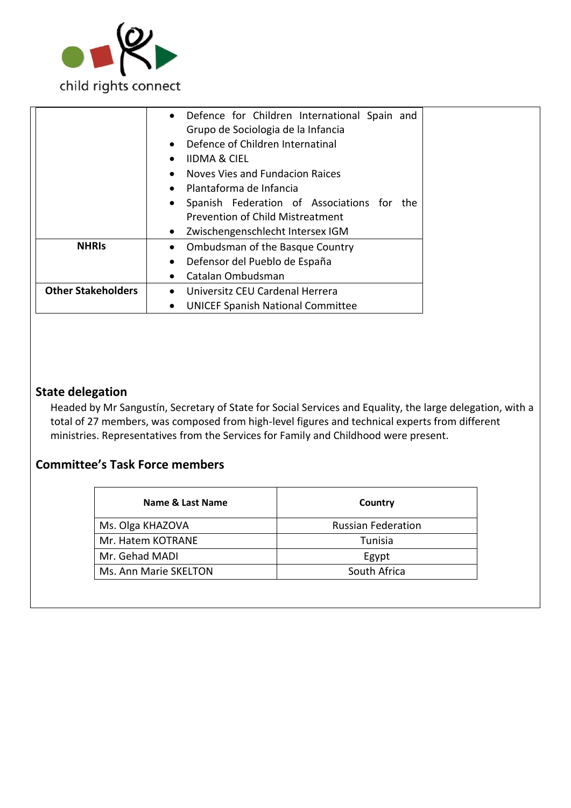

| • Defence for Children International Spain and<br>Grupo de Sociologia de la Infancia<br>Defence of Children Internatinal<br><b>IIDMA &amp; CIEL</b><br>Noves Vies and Fundacion Raices<br>$\bullet$<br>Plantaforma de Infancia<br>• Spanish Federation of Associations for the<br>Prevention of Child Mistreatment<br>Zwischengenschlecht Intersex IGM<br><b>NHRIS</b><br><b>Ombudsman of the Basque Country</b><br>$\bullet$<br>Defensor del Pueblo de España<br>$\bullet$<br>Catalan Ombudsman<br><b>Other Stakeholders</b><br>Universitz CEU Cardenal Herrera<br>$\bullet$<br><b>UNICEF Spanish National Committee</b> |
|---------------------------------------------------------------------------------------------------------------------------------------------------------------------------------------------------------------------------------------------------------------------------------------------------------------------------------------------------------------------------------------------------------------------------------------------------------------------------------------------------------------------------------------------------------------------------------------------------------------------------|
|                                                                                                                                                                                                                                                                                                                                                                                                                                                                                                                                                                                                                           |
|                                                                                                                                                                                                                                                                                                                                                                                                                                                                                                                                                                                                                           |
|                                                                                                                                                                                                                                                                                                                                                                                                                                                                                                                                                                                                                           |
|                                                                                                                                                                                                                                                                                                                                                                                                                                                                                                                                                                                                                           |
|                                                                                                                                                                                                                                                                                                                                                                                                                                                                                                                                                                                                                           |
|                                                                                                                                                                                                                                                                                                                                                                                                                                                                                                                                                                                                                           |
|                                                                                                                                                                                                                                                                                                                                                                                                                                                                                                                                                                                                                           |
|                                                                                                                                                                                                                                                                                                                                                                                                                                                                                                                                                                                                                           |
|                                                                                                                                                                                                                                                                                                                                                                                                                                                                                                                                                                                                                           |
|                                                                                                                                                                                                                                                                                                                                                                                                                                                                                                                                                                                                                           |
|                                                                                                                                                                                                                                                                                                                                                                                                                                                                                                                                                                                                                           |
|                                                                                                                                                                                                                                                                                                                                                                                                                                                                                                                                                                                                                           |
|                                                                                                                                                                                                                                                                                                                                                                                                                                                                                                                                                                                                                           |
|                                                                                                                                                                                                                                                                                                                                                                                                                                                                                                                                                                                                                           |

## **State delegation**

Headed by Mr Sangustín, Secretary of State for Social Services and Equality, the large delegation, with a total of 27 members, was composed from high-level figures and technical experts from different ministries. Representatives from the Services for Family and Childhood were present.

## **Committee's Task Force members**

| Name & Last Name      | Country                   |
|-----------------------|---------------------------|
| Ms. Olga KHAZOVA      | <b>Russian Federation</b> |
| Mr. Hatem KOTRANE     | Tunisia                   |
| Mr. Gehad MADI        | Egypt                     |
| Ms. Ann Marie SKELTON | South Africa              |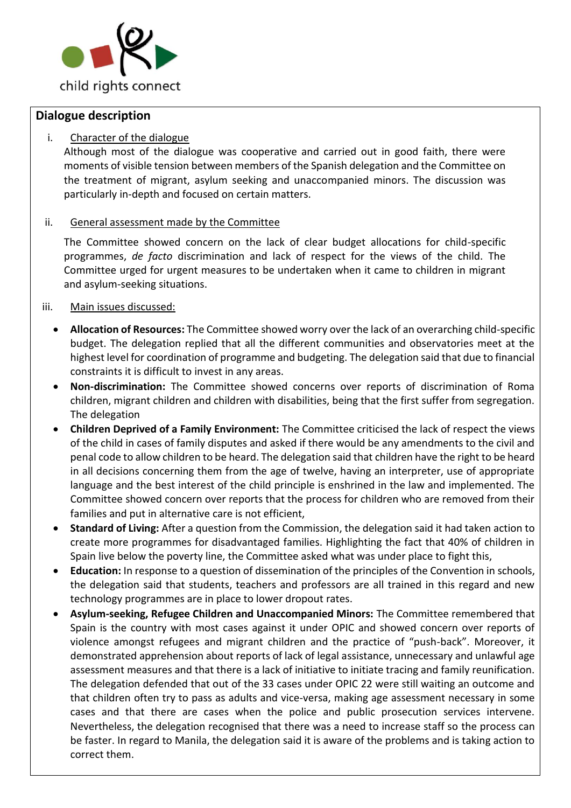

## **Dialogue description**

### i. Character of the dialogue

Although most of the dialogue was cooperative and carried out in good faith, there were moments of visible tension between members of the Spanish delegation and the Committee on the treatment of migrant, asylum seeking and unaccompanied minors. The discussion was particularly in-depth and focused on certain matters.

#### ii. General assessment made by the Committee

The Committee showed concern on the lack of clear budget allocations for child-specific programmes, *de facto* discrimination and lack of respect for the views of the child. The Committee urged for urgent measures to be undertaken when it came to children in migrant and asylum-seeking situations.

### iii. Main issues discussed:

- **Allocation of Resources:** The Committee showed worry over the lack of an overarching child-specific budget. The delegation replied that all the different communities and observatories meet at the highest level for coordination of programme and budgeting. The delegation said that due to financial constraints it is difficult to invest in any areas.
- **Non-discrimination:** The Committee showed concerns over reports of discrimination of Roma children, migrant children and children with disabilities, being that the first suffer from segregation. The delegation
- **Children Deprived of a Family Environment:** The Committee criticised the lack of respect the views of the child in cases of family disputes and asked if there would be any amendments to the civil and penal code to allow children to be heard. The delegation said that children have the right to be heard in all decisions concerning them from the age of twelve, having an interpreter, use of appropriate language and the best interest of the child principle is enshrined in the law and implemented. The Committee showed concern over reports that the process for children who are removed from their families and put in alternative care is not efficient,
- **Standard of Living:** After a question from the Commission, the delegation said it had taken action to create more programmes for disadvantaged families. Highlighting the fact that 40% of children in Spain live below the poverty line, the Committee asked what was under place to fight this,
- **Education:** In response to a question of dissemination of the principles of the Convention in schools, the delegation said that students, teachers and professors are all trained in this regard and new technology programmes are in place to lower dropout rates.
- **Asylum-seeking, Refugee Children and Unaccompanied Minors:** The Committee remembered that Spain is the country with most cases against it under OPIC and showed concern over reports of violence amongst refugees and migrant children and the practice of "push-back". Moreover, it demonstrated apprehension about reports of lack of legal assistance, unnecessary and unlawful age assessment measures and that there is a lack of initiative to initiate tracing and family reunification. The delegation defended that out of the 33 cases under OPIC 22 were still waiting an outcome and that children often try to pass as adults and vice-versa, making age assessment necessary in some cases and that there are cases when the police and public prosecution services intervene. Nevertheless, the delegation recognised that there was a need to increase staff so the process can be faster. In regard to Manila, the delegation said it is aware of the problems and is taking action to correct them.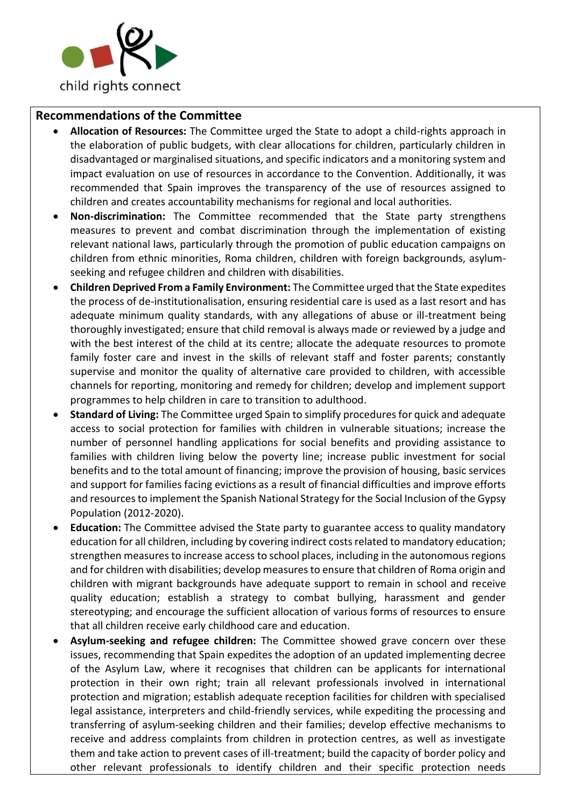

## **Recommendations of the Committee**

- **Allocation of Resources:** The Committee urged the State to adopt a child-rights approach in the elaboration of public budgets, with clear allocations for children, particularly children in disadvantaged or marginalised situations, and specific indicators and a monitoring system and impact evaluation on use of resources in accordance to the Convention. Additionally, it was recommended that Spain improves the transparency of the use of resources assigned to children and creates accountability mechanisms for regional and local authorities.
- **Non-discrimination:** The Committee recommended that the State party strengthens measures to prevent and combat discrimination through the implementation of existing relevant national laws, particularly through the promotion of public education campaigns on children from ethnic minorities, Roma children, children with foreign backgrounds, asylumseeking and refugee children and children with disabilities.
- **Children Deprived From a Family Environment:** The Committee urged that the State expedites the process of de-institutionalisation, ensuring residential care is used as a last resort and has adequate minimum quality standards, with any allegations of abuse or ill-treatment being thoroughly investigated; ensure that child removal is always made or reviewed by a judge and with the best interest of the child at its centre; allocate the adequate resources to promote family foster care and invest in the skills of relevant staff and foster parents; constantly supervise and monitor the quality of alternative care provided to children, with accessible channels for reporting, monitoring and remedy for children; develop and implement support programmes to help children in care to transition to adulthood.
- **Standard of Living:** The Committee urged Spain to simplify procedures for quick and adequate access to social protection for families with children in vulnerable situations; increase the number of personnel handling applications for social benefits and providing assistance to families with children living below the poverty line; increase public investment for social benefits and to the total amount of financing; improve the provision of housing, basic services and support for families facing evictions as a result of financial difficulties and improve efforts and resources to implement the Spanish National Strategy for the Social Inclusion of the Gypsy Population (2012-2020).
- **Education:** The Committee advised the State party to guarantee access to quality mandatory education for all children, including by covering indirect costs related to mandatory education; strengthen measures to increase access to school places, including in the autonomous regions and for children with disabilities; develop measures to ensure that children of Roma origin and children with migrant backgrounds have adequate support to remain in school and receive quality education; establish a strategy to combat bullying, harassment and gender stereotyping; and encourage the sufficient allocation of various forms of resources to ensure that all children receive early childhood care and education.
- **Asylum-seeking and refugee children:** The Committee showed grave concern over these issues, recommending that Spain expedites the adoption of an updated implementing decree of the Asylum Law, where it recognises that children can be applicants for international protection in their own right; train all relevant professionals involved in international protection and migration; establish adequate reception facilities for children with specialised legal assistance, interpreters and child-friendly services, while expediting the processing and transferring of asylum-seeking children and their families; develop effective mechanisms to receive and address complaints from children in protection centres, as well as investigate them and take action to prevent cases of ill-treatment; build the capacity of border policy and other relevant professionals to identify children and their specific protection needs